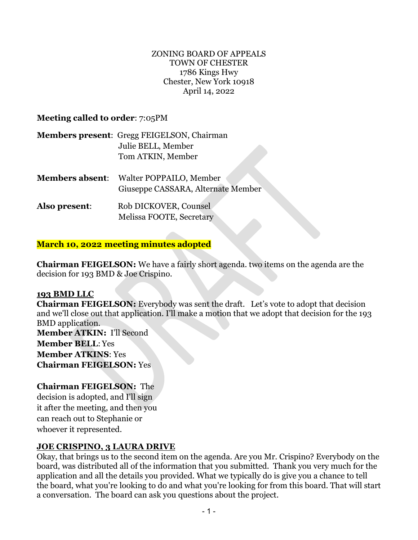#### ZONING BOARD OF APPEALS TOWN OF CHESTER 1786 Kings Hwy Chester, New York 10918 April 14, 2022

## **Meeting called to order**: 7:05PM

|               | <b>Members present: Gregg FEIGELSON, Chairman</b>                                    |
|---------------|--------------------------------------------------------------------------------------|
|               | Julie BELL, Member                                                                   |
|               | Tom ATKIN, Member                                                                    |
|               | <b>Members absent:</b> Walter POPPAILO, Member<br>Giuseppe CASSARA, Alternate Member |
| Also present: | Rob DICKOVER, Counsel                                                                |

Melissa FOOTE, Secretary

### **March 10, 2022 meeting minutes adopted**

**Chairman FEIGELSON:** We have a fairly short agenda. two items on the agenda are the decision for 193 BMD & Joe Crispino.

#### **193 BMD LLC**

**Chairman FEIGELSON:** Everybody was sent the draft. Let's vote to adopt that decision and we'll close out that application. I'll make a motion that we adopt that decision for the 193 BMD application.

**Member ATKIN:** I'll Second **Member BELL**: Yes **Member ATKINS**: Yes **Chairman FEIGELSON:** Yes

## **Chairman FEIGELSON:** The

decision is adopted, and I'll sign it after the meeting, and then you can reach out to Stephanie or whoever it represented.

# **JOE CRISPINO, 3 LAURA DRIVE**

Okay, that brings us to the second item on the agenda. Are you Mr. Crispino? Everybody on the board, was distributed all of the information that you submitted. Thank you very much for the application and all the details you provided. What we typically do is give you a chance to tell the board, what you're looking to do and what you're looking for from this board. That will start a conversation. The board can ask you questions about the project.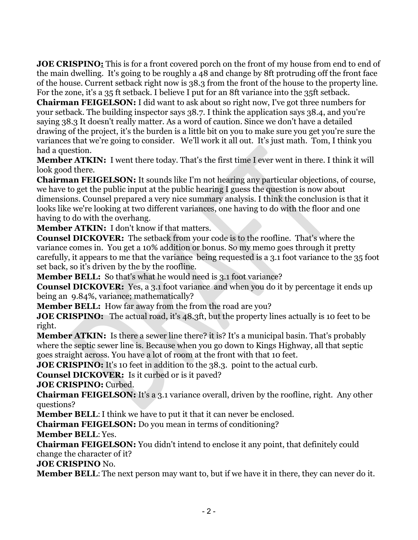**JOE CRISPINO:** This is for a front covered porch on the front of my house from end to end of the main dwelling. It's going to be roughly a 48 and change by 8ft protruding off the front face of the house. Current setback right now is 38.3 from the front of the house to the property line. For the zone, it's a 35 ft setback. I believe I put for an 8ft variance into the 35ft setback.

**Chairman FEIGELSON:** I did want to ask about so right now, I've got three numbers for your setback. The building inspector says 38.7. I think the application says 38.4, and you're saying 38.3 It doesn't really matter. As a word of caution. Since we don't have a detailed drawing of the project, it's the burden is a little bit on you to make sure you get you're sure the variances that we're going to consider. We'll work it all out. It's just math. Tom, I think you had a question.

**Member ATKIN:** I went there today. That's the first time I ever went in there. I think it will look good there.

**Chairman FEIGELSON:** It sounds like I'm not hearing any particular objections, of course, we have to get the public input at the public hearing I guess the question is now about dimensions. Counsel prepared a very nice summary analysis. I think the conclusion is that it looks like we're looking at two different variances, one having to do with the floor and one having to do with the overhang.

**Member ATKIN:** I don't know if that matters.

**Counsel DICKOVER:** The setback from your code is to the roofline. That's where the variance comes in. You get a 10% addition or bonus. So my memo goes through it pretty carefully, it appears to me that the variance being requested is a 3.1 foot variance to the 35 foot set back, so it's driven by the by the roofline.

**Member BELL:** So that's what he would need is 3.1 foot variance?

**Counsel DICKOVER:** Yes, a 3.1 foot variance and when you do it by percentage it ends up being an 9.84%, variance; mathematically?

**Member BELL:** How far away from the from the road are you?

**JOE CRISPINO:** The actual road, it's 48.3ft, but the property lines actually is 10 feet to be right.

**Member ATKIN:** Is there a sewer line there? it is? It's a municipal basin. That's probably where the septic sewer line is. Because when you go down to Kings Highway, all that septic goes straight across. You have a lot of room at the front with that 10 feet.

**JOE CRISPINO:** It's 10 feet in addition to the 38.3. point to the actual curb.

**Counsel DICKOVER:** Is it curbed or is it paved?

**JOE CRISPINO:** Curbed.

**Chairman FEIGELSON:** It's a 3.1 variance overall, driven by the roofline, right. Any other questions?

**Member BELL:** I think we have to put it that it can never be enclosed.

**Chairman FEIGELSON:** Do you mean in terms of conditioning?

**Member BELL**: Yes.

**Chairman FEIGELSON:** You didn't intend to enclose it any point, that definitely could change the character of it?

**JOE CRISPINO** No.

**Member BELL**: The next person may want to, but if we have it in there, they can never do it.